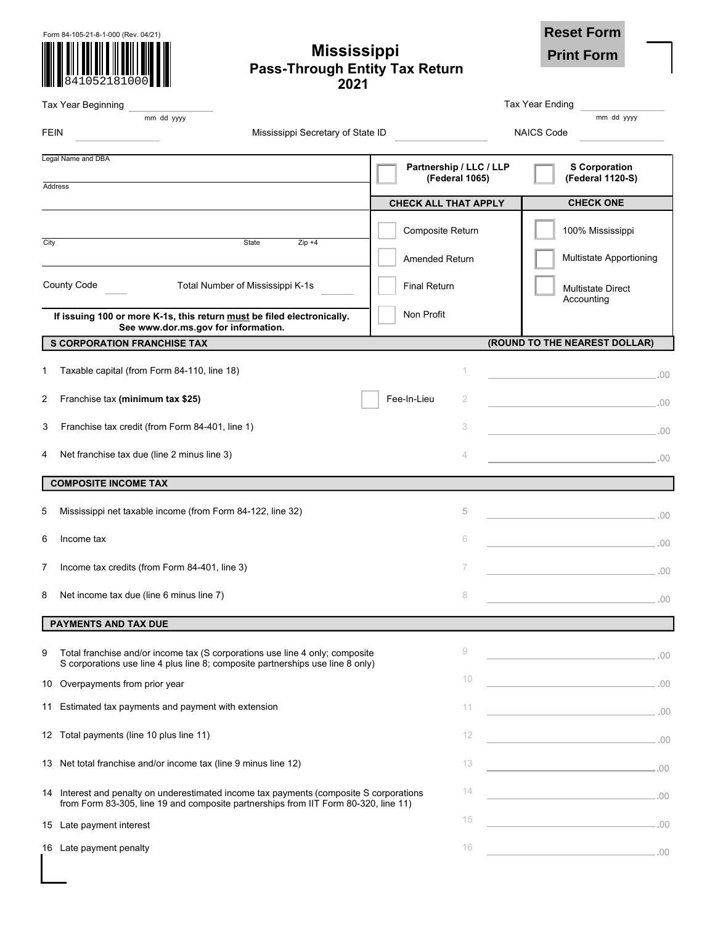| Form 84-105-21-8-1-000 (Rev. 04/21) |              |  |  |  |  |
|-------------------------------------|--------------|--|--|--|--|
|                                     |              |  |  |  |  |
|                                     |              |  |  |  |  |
|                                     | 841052181000 |  |  |  |  |

# **Mississippi Pass-Through Entity Tax Return 2021**

**Print Form**

**.**00

| <b>THE ART CATOLOGY IN</b><br>2021                                                                                                                                             |                                           |                                          |
|--------------------------------------------------------------------------------------------------------------------------------------------------------------------------------|-------------------------------------------|------------------------------------------|
| Tax Year Beginning                                                                                                                                                             |                                           | <b>Tax Year Ending</b>                   |
| mm dd yyyy                                                                                                                                                                     |                                           | mm dd yyyy                               |
| <b>FEIN</b><br>Mississippi Secretary of State ID                                                                                                                               |                                           | <b>NAICS Code</b>                        |
| Legal Name and DBA                                                                                                                                                             | Partnership / LLC / LLP<br>(Federal 1065) | <b>S</b> Corporation<br>(Federal 1120-S) |
| Address                                                                                                                                                                        | <b>CHECK ALL THAT APPLY</b>               | <b>CHECK ONE</b>                         |
|                                                                                                                                                                                |                                           |                                          |
| City<br>State<br>$Zip +4$                                                                                                                                                      | Composite Return                          | 100% Mississippi                         |
|                                                                                                                                                                                | Amended Return                            | Multistate Apportioning                  |
| <b>County Code</b><br>Total Number of Mississippi K-1s                                                                                                                         | <b>Final Return</b>                       | <b>Multistate Direct</b><br>Accounting   |
| If issuing 100 or more K-1s, this return must be filed electronically.<br>See www.dor.ms.gov for information.                                                                  | Non Profit                                |                                          |
| <b>S CORPORATION FRANCHISE TAX</b>                                                                                                                                             |                                           | (ROUND TO THE NEAREST DOLLAR)            |
| Taxable capital (from Form 84-110, line 18)<br>1                                                                                                                               | 1                                         |                                          |
| Franchise tax (minimum tax \$25)<br>2                                                                                                                                          | Fee-In-Lieu<br>2                          | $\sim$ 00.                               |
| Franchise tax credit (from Form 84-401, line 1)<br>3                                                                                                                           | 3                                         | $\sim$ 00.                               |
| Net franchise tax due (line 2 minus line 3)<br>4                                                                                                                               | 4                                         | $\overline{\phantom{a}00}$ .00           |
| <b>COMPOSITE INCOME TAX</b>                                                                                                                                                    |                                           |                                          |
| Mississippi net taxable income (from Form 84-122, line 32)<br>5                                                                                                                | 5                                         | $\sim$ 00.                               |
| Income tax<br>6                                                                                                                                                                | 6                                         | $\sim$ 00.                               |
| Income tax credits (from Form 84-401, line 3)<br>7                                                                                                                             | 7                                         | $\sim$ 00 $\sim$                         |
| Net income tax due (line 6 minus line 7)<br>8                                                                                                                                  | 8                                         | $\sim$ 00.                               |
| PAYMENTS AND TAX DUE                                                                                                                                                           |                                           |                                          |
| Total franchise and/or income tax (S corporations use line 4 only; composite<br>9                                                                                              | 9                                         |                                          |
| S corporations use line 4 plus line 8; composite partnerships use line 8 only)                                                                                                 |                                           | $\sim$ 00.                               |
| Overpayments from prior year<br>10                                                                                                                                             | 10                                        | .00                                      |
| Estimated tax payments and payment with extension<br>11                                                                                                                        | 11                                        | $\sim$ 00.                               |
| 12 Total payments (line 10 plus line 11)                                                                                                                                       | 12                                        | $\sim$ 00.                               |
| 13 Net total franchise and/or income tax (line 9 minus line 12)                                                                                                                | 13                                        | $\sim$ 00 $\sim$                         |
| 14 Interest and penalty on underestimated income tax payments (composite S corporations<br>from Form 83-305, line 19 and composite partnerships from IIT Form 80-320, line 11) | 14                                        | $\sim$ 00.                               |
| 15 Late payment interest                                                                                                                                                       | 15                                        |                                          |

**16 Late payment penalty** 16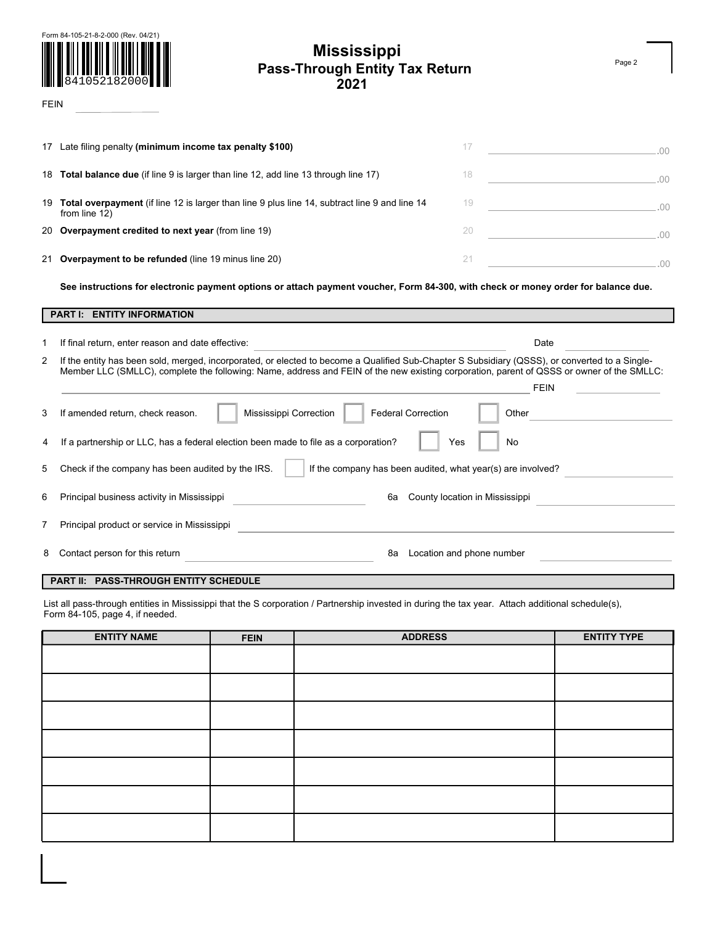

# **Mississippi Pass-Through Entity Tax Return 2021**

FEIN

|   | 17 Late filing penalty (minimum income tax penalty \$100)                                                                                                                                                                                                                                   | 17<br>the control of the control of the control of<br>$-00 -$                |
|---|---------------------------------------------------------------------------------------------------------------------------------------------------------------------------------------------------------------------------------------------------------------------------------------------|------------------------------------------------------------------------------|
|   | 18 <b>Total balance due</b> (if line 9 is larger than line 12, add line 13 through line 17)                                                                                                                                                                                                 | 18<br>.00                                                                    |
|   | 19 Total overpayment (if line 12 is larger than line 9 plus line 14, subtract line 9 and line 14<br>from line 12)                                                                                                                                                                           | 19<br>$\sim$ 00.                                                             |
|   | 20 Overpayment credited to next year (from line 19)                                                                                                                                                                                                                                         | 20<br>$\sim$ 00.                                                             |
|   | 21 Overpayment to be refunded (line 19 minus line 20)                                                                                                                                                                                                                                       | 21<br><u> 1980 - Johann Barn, mars an t-Amerikaansk kommunister (</u><br>.00 |
|   | See instructions for electronic payment options or attach payment voucher, Form 84-300, with check or money order for balance due.                                                                                                                                                          |                                                                              |
|   | <b>PART I: ENTITY INFORMATION</b>                                                                                                                                                                                                                                                           |                                                                              |
| 1 | If final return, enter reason and date effective:                                                                                                                                                                                                                                           | Date                                                                         |
| 2 | If the entity has been sold, merged, incorporated, or elected to become a Qualified Sub-Chapter S Subsidiary (QSSS), or converted to a Single-<br>Member LLC (SMLLC), complete the following: Name, address and FEIN of the new existing corporation, parent of QSSS or owner of the SMLLC: | <b>FEIN</b>                                                                  |
| 3 | Mississippi Correction<br><b>Federal Correction</b><br>If amended return, check reason.                                                                                                                                                                                                     | Other                                                                        |
| 4 | If a partnership or LLC, has a federal election been made to file as a corporation?                                                                                                                                                                                                         | Yes<br>No                                                                    |
| 5 | If the company has been audited, what year(s) are involved?<br>Check if the company has been audited by the IRS.                                                                                                                                                                            |                                                                              |
| 6 | Principal business activity in Mississippi<br>6a                                                                                                                                                                                                                                            | County location in Mississippi                                               |
| 7 | Principal product or service in Mississippi                                                                                                                                                                                                                                                 |                                                                              |
| 8 |                                                                                                                                                                                                                                                                                             |                                                                              |

### **PART lI: PASS-THROUGH ENTITY SCHEDULE**

List all pass-through entities in Mississippi that the S corporation / Partnership invested in during the tax year. Attach additional schedule(s), Form 84-105, page 4, if needed.

| <b>ENTITY NAME</b> | <b>FEIN</b> | <b>ADDRESS</b> | <b>ENTITY TYPE</b> |
|--------------------|-------------|----------------|--------------------|
|                    |             |                |                    |
|                    |             |                |                    |
|                    |             |                |                    |
|                    |             |                |                    |
|                    |             |                |                    |
|                    |             |                |                    |
|                    |             |                |                    |

Page 2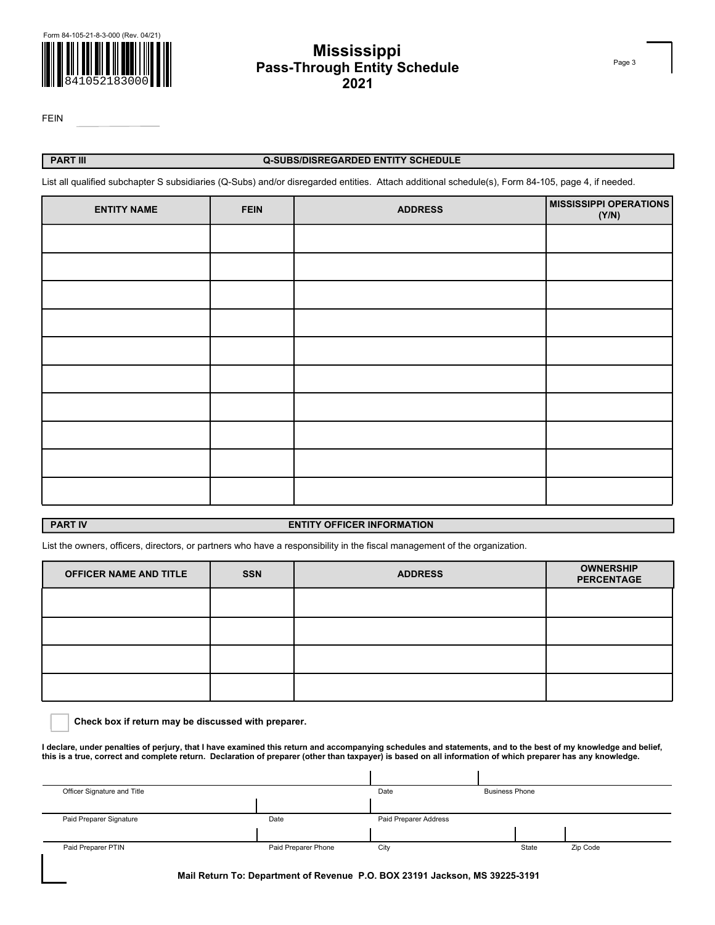

# **Pass-Through Entity Schedule Mississippi 2021**

FEIN

## **PART lII Q-SUBS/DISREGARDED ENTITY SCHEDULE**

List all qualified subchapter S subsidiaries (Q-Subs) and/or disregarded entities. Attach additional schedule(s), Form 84-105, page 4, if needed.

| <b>ENTITY NAME</b> | <b>FEIN</b> | <b>ADDRESS</b> | <b>MISSISSIPPI OPERATIONS</b><br>(Y/N) |
|--------------------|-------------|----------------|----------------------------------------|
|                    |             |                |                                        |
|                    |             |                |                                        |
|                    |             |                |                                        |
|                    |             |                |                                        |
|                    |             |                |                                        |
|                    |             |                |                                        |
|                    |             |                |                                        |
|                    |             |                |                                        |
|                    |             |                |                                        |
|                    |             |                |                                        |

### **PART IV ENTITY OFFICER INFORMATION**

List the owners, officers, directors, or partners who have a responsibility in the fiscal management of the organization.

| <b>OFFICER NAME AND TITLE</b> | <b>SSN</b> | <b>ADDRESS</b> | <b>OWNERSHIP</b><br><b>PERCENTAGE</b> |
|-------------------------------|------------|----------------|---------------------------------------|
|                               |            |                |                                       |
|                               |            |                |                                       |
|                               |            |                |                                       |
|                               |            |                |                                       |

**Check box if return may be discussed with preparer.**

**I declare, under penalties of perjury, that I have examined this return and accompanying schedules and statements, and to the best of my knowledge and belief, this is a true, correct and complete return. Declaration of preparer (other than taxpayer) is based on all information of which preparer has any knowledge.** 

| Officer Signature and Title |                     | Date                  | <b>Business Phone</b> |       |          |
|-----------------------------|---------------------|-----------------------|-----------------------|-------|----------|
|                             |                     |                       |                       |       |          |
| Paid Preparer Signature     | Date                | Paid Preparer Address |                       |       |          |
|                             |                     |                       |                       |       |          |
| Paid Preparer PTIN          | Paid Preparer Phone | City                  |                       | State | Zip Code |

 **Mail Return To: Department of Revenue P.O. BOX 23191 Jackson, MS 39225-3191** 

Page 3